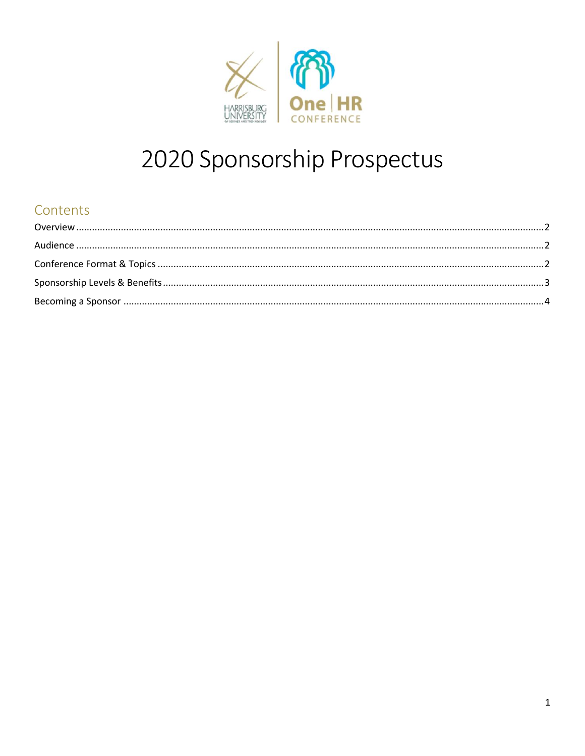

# 2020 Sponsorship Prospectus

# Contents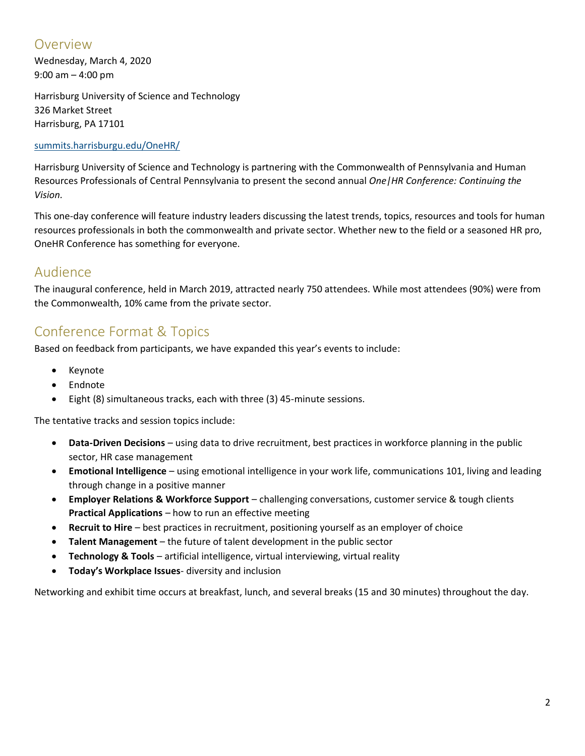### <span id="page-1-0"></span>Overview

Wednesday, March 4, 2020 9:00 am – 4:00 pm

Harrisburg University of Science and Technology 326 Market Street Harrisburg, PA 17101

#### [summits.harrisburgu.edu/OneHR/](http://summits.harrisburgu.edu/OneHR/)

Harrisburg University of Science and Technology is partnering with the Commonwealth of Pennsylvania and Human Resources Professionals of Central Pennsylvania to present the second annual *One|HR Conference: Continuing the Vision.*

This one-day conference will feature industry leaders discussing the latest trends, topics, resources and tools for human resources professionals in both the commonwealth and private sector. Whether new to the field or a seasoned HR pro, OneHR Conference has something for everyone.

#### <span id="page-1-1"></span>Audience

The inaugural conference, held in March 2019, attracted nearly 750 attendees. While most attendees (90%) were from the Commonwealth, 10% came from the private sector.

## <span id="page-1-2"></span>Conference Format & Topics

Based on feedback from participants, we have expanded this year's events to include:

- Keynote
- Endnote
- Eight (8) simultaneous tracks, each with three (3) 45-minute sessions.

The tentative tracks and session topics include:

- **Data-Driven Decisions** using data to drive recruitment, best practices in workforce planning in the public sector, HR case management
- **Emotional Intelligence** using emotional intelligence in your work life, communications 101, living and leading through change in a positive manner
- **Employer Relations & Workforce Support** challenging conversations, customer service & tough clients **Practical Applications** – how to run an effective meeting
- **Recruit to Hire** best practices in recruitment, positioning yourself as an employer of choice
- **Talent Management** the future of talent development in the public sector
- **Technology & Tools** artificial intelligence, virtual interviewing, virtual reality
- **Today's Workplace Issues** diversity and inclusion

Networking and exhibit time occurs at breakfast, lunch, and several breaks (15 and 30 minutes) throughout the day.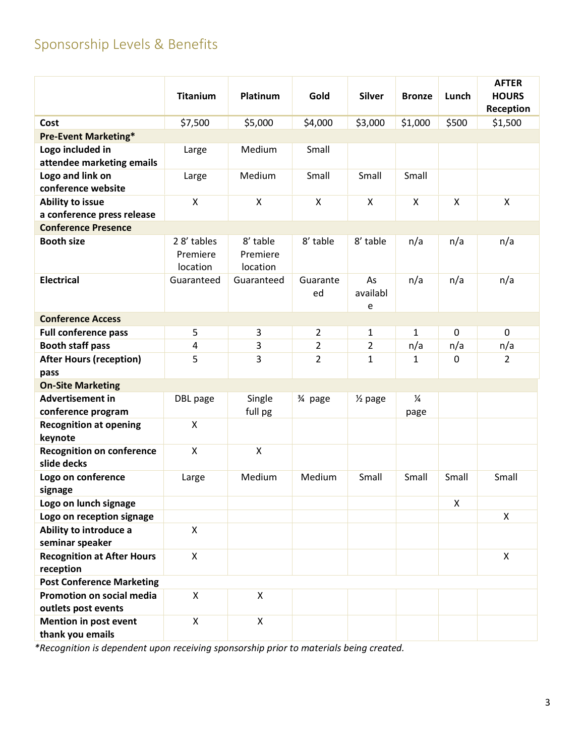# <span id="page-2-0"></span>Sponsorship Levels & Benefits

|                                                       | <b>Titanium</b>                    | Platinum                         | Gold           | <b>Silver</b>       | <b>Bronze</b>         | Lunch       | <b>AFTER</b><br><b>HOURS</b><br>Reception |  |
|-------------------------------------------------------|------------------------------------|----------------------------------|----------------|---------------------|-----------------------|-------------|-------------------------------------------|--|
| Cost                                                  | \$7,500                            | \$5,000                          | \$4,000        | \$3,000             | \$1,000               | \$500       | \$1,500                                   |  |
| <b>Pre-Event Marketing*</b>                           |                                    |                                  |                |                     |                       |             |                                           |  |
| Logo included in<br>attendee marketing emails         | Large                              | Medium                           | Small          |                     |                       |             |                                           |  |
| Logo and link on<br>conference website                | Large                              | Medium                           | Small          | Small               | Small                 |             |                                           |  |
| <b>Ability to issue</b><br>a conference press release | X                                  | X                                | X              | X                   | X                     | X           | X                                         |  |
| <b>Conference Presence</b>                            |                                    |                                  |                |                     |                       |             |                                           |  |
| <b>Booth size</b>                                     | 28' tables<br>Premiere<br>location | 8' table<br>Premiere<br>location | 8' table       | 8' table            | n/a                   | n/a         | n/a                                       |  |
| <b>Electrical</b>                                     | Guaranteed                         | Guaranteed                       | Guarante<br>ed | As<br>availabl<br>e | n/a                   | n/a         | n/a                                       |  |
| <b>Conference Access</b>                              |                                    |                                  |                |                     |                       |             |                                           |  |
| <b>Full conference pass</b>                           | 5                                  | 3                                | 2              | 1                   | $\mathbf{1}$          | $\mathbf 0$ | $\Omega$                                  |  |
| <b>Booth staff pass</b>                               | 4                                  | 3                                | 2              | $\overline{2}$      | n/a                   | n/a         | n/a                                       |  |
| <b>After Hours (reception)</b><br>pass                | 5                                  | 3                                | $\overline{2}$ | $\mathbf{1}$        | $\mathbf{1}$          | $\pmb{0}$   | $\overline{2}$                            |  |
| <b>On-Site Marketing</b>                              |                                    |                                  |                |                     |                       |             |                                           |  |
| <b>Advertisement in</b><br>conference program         | DBL page                           | Single<br>full pg                | 3⁄4 page       | $\frac{1}{2}$ page  | $\frac{1}{4}$<br>page |             |                                           |  |
| <b>Recognition at opening</b><br>keynote              | X                                  |                                  |                |                     |                       |             |                                           |  |
| <b>Recognition on conference</b><br>slide decks       | $\pmb{\mathsf{X}}$                 | $\pmb{\mathsf{X}}$               |                |                     |                       |             |                                           |  |
| Logo on conference<br>signage                         | Large                              | Medium                           | Medium         | Small               | Small                 | Small       | Small                                     |  |
| Logo on lunch signage                                 |                                    |                                  |                |                     |                       | X           |                                           |  |
| Logo on reception signage                             |                                    |                                  |                |                     |                       |             | X                                         |  |
| Ability to introduce a<br>seminar speaker             | $\pmb{\mathsf{X}}$                 |                                  |                |                     |                       |             |                                           |  |
| <b>Recognition at After Hours</b><br>reception        | X                                  |                                  |                |                     |                       |             | X                                         |  |
| <b>Post Conference Marketing</b>                      |                                    |                                  |                |                     |                       |             |                                           |  |
| Promotion on social media<br>outlets post events      | X                                  | X                                |                |                     |                       |             |                                           |  |
| Mention in post event<br>thank you emails             | X                                  | X                                |                |                     |                       |             |                                           |  |

*\*Recognition is dependent upon receiving sponsorship prior to materials being created.*